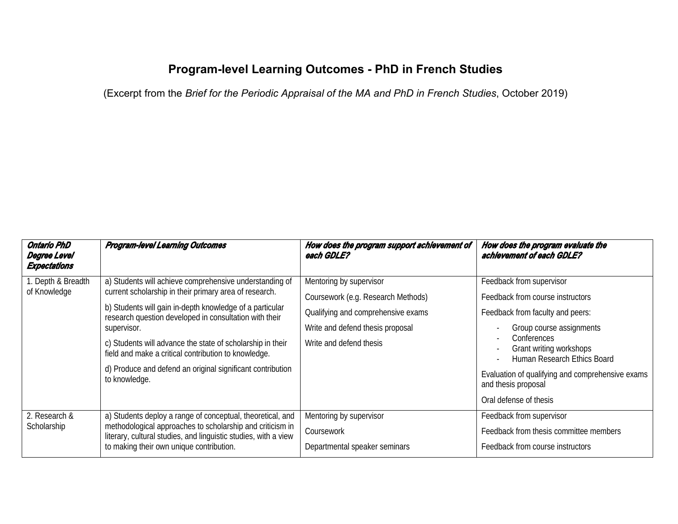## **Program-level Learning Outcomes - PhD in French Studies**

(Excerpt from the Brief for the Periodic Appraisal of the MA and PhD in French Studies, October 2019)

| <b>Ontario PhD</b><br><b>Degree Level</b><br><b>Expectations</b> | <b>Program-level Learning Outcomes</b>                                                                                                                                                                                                                                                                                                                                                                                                                      | How does the program support achievement of<br>each GDLE?                                                                                                          | How does the program evaluate the<br>achievement of each GDLE?                                                                                                                                                                                                                                                                         |
|------------------------------------------------------------------|-------------------------------------------------------------------------------------------------------------------------------------------------------------------------------------------------------------------------------------------------------------------------------------------------------------------------------------------------------------------------------------------------------------------------------------------------------------|--------------------------------------------------------------------------------------------------------------------------------------------------------------------|----------------------------------------------------------------------------------------------------------------------------------------------------------------------------------------------------------------------------------------------------------------------------------------------------------------------------------------|
| 1. Depth & Breadth<br>of Knowledge                               | a) Students will achieve comprehensive understanding of<br>current scholarship in their primary area of research.<br>b) Students will gain in-depth knowledge of a particular<br>research question developed in consultation with their<br>supervisor.<br>c) Students will advance the state of scholarship in their<br>field and make a critical contribution to knowledge.<br>d) Produce and defend an original significant contribution<br>to knowledge. | Mentoring by supervisor<br>Coursework (e.g. Research Methods)<br>Qualifying and comprehensive exams<br>Write and defend thesis proposal<br>Write and defend thesis | Feedback from supervisor<br>Feedback from course instructors<br>Feedback from faculty and peers:<br>Group course assignments<br>Conferences<br>$\overline{\phantom{a}}$<br>Grant writing workshops<br>Human Research Ethics Board<br>Evaluation of qualifying and comprehensive exams<br>and thesis proposal<br>Oral defense of thesis |
| 2. Research &<br>Scholarship                                     | a) Students deploy a range of conceptual, theoretical, and<br>methodological approaches to scholarship and criticism in<br>literary, cultural studies, and linguistic studies, with a view<br>to making their own unique contribution.                                                                                                                                                                                                                      | Mentoring by supervisor<br>Coursework<br>Departmental speaker seminars                                                                                             | Feedback from supervisor<br>Feedback from thesis committee members<br>Feedback from course instructors                                                                                                                                                                                                                                 |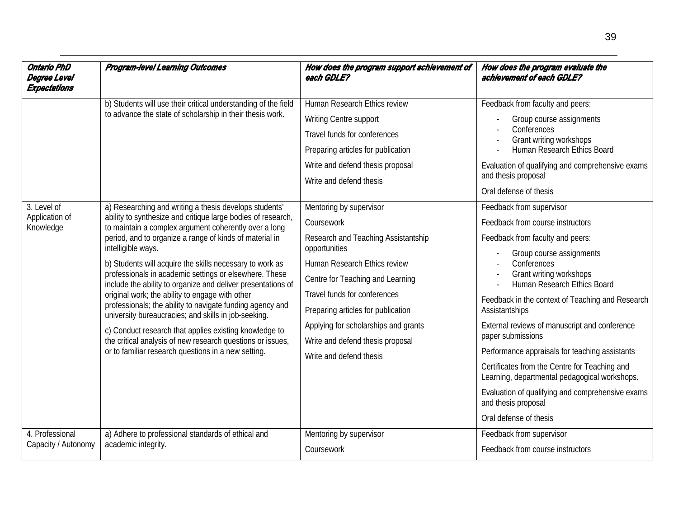| <b>Ontario PhD</b><br>Degree Level<br><b>Expectations</b> | <b>Program-level Learning Outcomes</b>                                                                                                                                                                                                                                                                                                                     | How does the program support achievement of<br>each GDLE? | How does the program evaluate the<br>achievement of each GDLE?                                 |
|-----------------------------------------------------------|------------------------------------------------------------------------------------------------------------------------------------------------------------------------------------------------------------------------------------------------------------------------------------------------------------------------------------------------------------|-----------------------------------------------------------|------------------------------------------------------------------------------------------------|
|                                                           | b) Students will use their critical understanding of the field                                                                                                                                                                                                                                                                                             | Human Research Ethics review                              | Feedback from faculty and peers:                                                               |
|                                                           | to advance the state of scholarship in their thesis work.                                                                                                                                                                                                                                                                                                  | Writing Centre support                                    | Group course assignments                                                                       |
|                                                           |                                                                                                                                                                                                                                                                                                                                                            | Travel funds for conferences                              | Conferences<br>Grant writing workshops                                                         |
|                                                           |                                                                                                                                                                                                                                                                                                                                                            | Preparing articles for publication                        | Human Research Ethics Board                                                                    |
|                                                           |                                                                                                                                                                                                                                                                                                                                                            | Write and defend thesis proposal                          | Evaluation of qualifying and comprehensive exams                                               |
|                                                           |                                                                                                                                                                                                                                                                                                                                                            | Write and defend thesis                                   | and thesis proposal                                                                            |
|                                                           |                                                                                                                                                                                                                                                                                                                                                            |                                                           | Oral defense of thesis                                                                         |
| 3. Level of                                               | a) Researching and writing a thesis develops students'                                                                                                                                                                                                                                                                                                     | Mentoring by supervisor                                   | Feedback from supervisor                                                                       |
| Application of<br>Knowledge                               | ability to synthesize and critique large bodies of research,<br>to maintain a complex argument coherently over a long<br>period, and to organize a range of kinds of material in<br>intelligible ways.                                                                                                                                                     | Coursework                                                | Feedback from course instructors                                                               |
|                                                           |                                                                                                                                                                                                                                                                                                                                                            | Research and Teaching Assistantship<br>opportunities      | Feedback from faculty and peers:                                                               |
|                                                           |                                                                                                                                                                                                                                                                                                                                                            |                                                           | Group course assignments                                                                       |
|                                                           | b) Students will acquire the skills necessary to work as<br>professionals in academic settings or elsewhere. These<br>include the ability to organize and deliver presentations of<br>original work; the ability to engage with other<br>professionals; the ability to navigate funding agency and<br>university bureaucracies; and skills in job-seeking. | Human Research Ethics review                              | Conferences<br>Grant writing workshops                                                         |
|                                                           |                                                                                                                                                                                                                                                                                                                                                            | Centre for Teaching and Learning                          | Human Research Ethics Board                                                                    |
|                                                           |                                                                                                                                                                                                                                                                                                                                                            | Travel funds for conferences                              | Feedback in the context of Teaching and Research                                               |
|                                                           |                                                                                                                                                                                                                                                                                                                                                            | Preparing articles for publication                        | Assistantships                                                                                 |
|                                                           | c) Conduct research that applies existing knowledge to<br>the critical analysis of new research questions or issues,<br>or to familiar research questions in a new setting.                                                                                                                                                                                | Applying for scholarships and grants                      | External reviews of manuscript and conference                                                  |
|                                                           |                                                                                                                                                                                                                                                                                                                                                            | Write and defend thesis proposal                          | paper submissions                                                                              |
|                                                           |                                                                                                                                                                                                                                                                                                                                                            | Write and defend thesis                                   | Performance appraisals for teaching assistants                                                 |
|                                                           |                                                                                                                                                                                                                                                                                                                                                            |                                                           | Certificates from the Centre for Teaching and<br>Learning, departmental pedagogical workshops. |
|                                                           |                                                                                                                                                                                                                                                                                                                                                            |                                                           | Evaluation of qualifying and comprehensive exams<br>and thesis proposal                        |
|                                                           |                                                                                                                                                                                                                                                                                                                                                            |                                                           | Oral defense of thesis                                                                         |
| 4. Professional                                           | a) Adhere to professional standards of ethical and                                                                                                                                                                                                                                                                                                         | Mentoring by supervisor                                   | Feedback from supervisor                                                                       |
| Capacity / Autonomy                                       | academic integrity.                                                                                                                                                                                                                                                                                                                                        | Coursework                                                | Feedback from course instructors                                                               |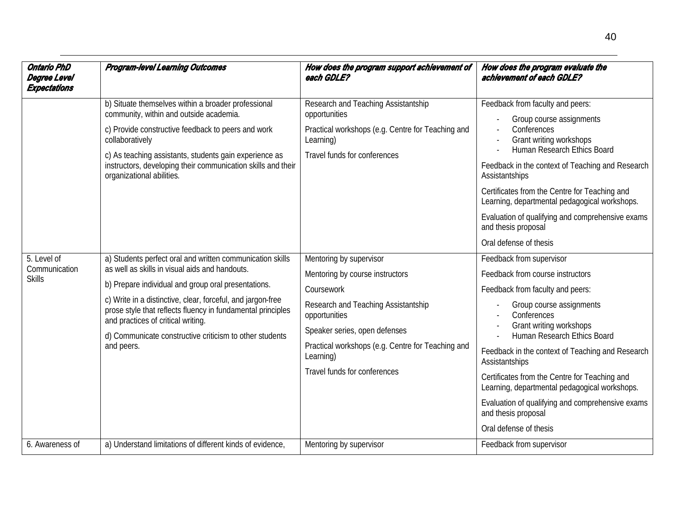| <b>Ontario PhD</b><br>Degree Level<br><b>Expectations</b> | <b>Program-level Learning Outcomes</b>                                                                                                                                                                                                                                                                                                                                                                          | How does the program support achievement of<br>each GDLE?                                                                                                                                                                                                           | How does the program evaluate the<br>achievement of each GDLE?                                                                                                                                                                                                                                                                                                                                                                                                                     |
|-----------------------------------------------------------|-----------------------------------------------------------------------------------------------------------------------------------------------------------------------------------------------------------------------------------------------------------------------------------------------------------------------------------------------------------------------------------------------------------------|---------------------------------------------------------------------------------------------------------------------------------------------------------------------------------------------------------------------------------------------------------------------|------------------------------------------------------------------------------------------------------------------------------------------------------------------------------------------------------------------------------------------------------------------------------------------------------------------------------------------------------------------------------------------------------------------------------------------------------------------------------------|
|                                                           | b) Situate themselves within a broader professional<br>community, within and outside academia.<br>c) Provide constructive feedback to peers and work<br>collaboratively<br>c) As teaching assistants, students gain experience as<br>instructors, developing their communication skills and their<br>organizational abilities.                                                                                  | Research and Teaching Assistantship<br>opportunities<br>Practical workshops (e.g. Centre for Teaching and<br>Learning)<br>Travel funds for conferences                                                                                                              | Feedback from faculty and peers:<br>Group course assignments<br>Conferences<br>Grant writing workshops<br>Human Research Ethics Board<br>Feedback in the context of Teaching and Research<br>Assistantships<br>Certificates from the Centre for Teaching and<br>Learning, departmental pedagogical workshops.<br>Evaluation of qualifying and comprehensive exams<br>and thesis proposal<br>Oral defense of thesis                                                                 |
| $5.$ Level of<br>Communication<br><b>Skills</b>           | a) Students perfect oral and written communication skills<br>as well as skills in visual aids and handouts.<br>b) Prepare individual and group oral presentations.<br>c) Write in a distinctive, clear, forceful, and jargon-free<br>prose style that reflects fluency in fundamental principles<br>and practices of critical writing.<br>d) Communicate constructive criticism to other students<br>and peers. | Mentoring by supervisor<br>Mentoring by course instructors<br>Coursework<br>Research and Teaching Assistantship<br>opportunities<br>Speaker series, open defenses<br>Practical workshops (e.g. Centre for Teaching and<br>Learning)<br>Travel funds for conferences | Feedback from supervisor<br>Feedback from course instructors<br>Feedback from faculty and peers:<br>Group course assignments<br>Conferences<br>Grant writing workshops<br>Human Research Ethics Board<br>Feedback in the context of Teaching and Research<br>Assistantships<br>Certificates from the Centre for Teaching and<br>Learning, departmental pedagogical workshops.<br>Evaluation of qualifying and comprehensive exams<br>and thesis proposal<br>Oral defense of thesis |
| 6. Awareness of                                           | a) Understand limitations of different kinds of evidence,                                                                                                                                                                                                                                                                                                                                                       | Mentoring by supervisor                                                                                                                                                                                                                                             | Feedback from supervisor                                                                                                                                                                                                                                                                                                                                                                                                                                                           |